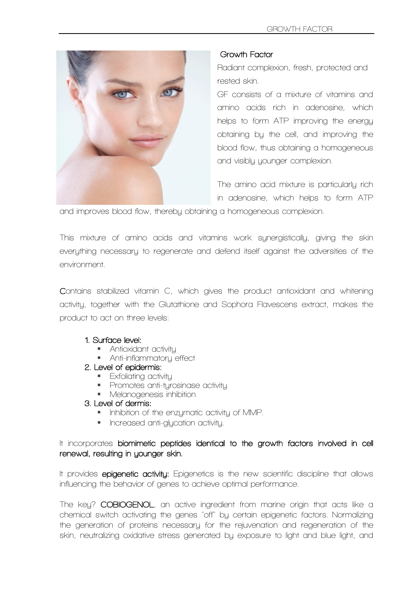

#### **Growth Factor**

**Radiant complexion, fresh, protected and rested skin.**

**GF consists of a mixture of vitamins and amino acids rich in adenosine, which helps to form ATP improving the energy obtaining by the cell, and improving the blood flow, thus obtaining a homogeneous and visibly younger complexion.**

**The amino acid mixture is particularly rich in adenosine, which helps to form ATP** 

**and improves blood flow, thereby obtaining a homogeneous complexion.**

**This mixture of amino acids and vitamins work synergistically, giving the skin everything necessary to regenerate and defend itself against the adversities of the environment.**

**Contains stabilized vitamin C, which gives the product antioxidant and whitening activity, together with the Glutathione and Sophora Flavescens extract, makes the product to act on three levels:**

### **1. Surface level:**

- **Antioxidant activity**
- **Anti-inflammatory effect**

#### **2. Level of epidermis:**

- **Exfoliating activity**
- **Promotes anti-tyrosinase activity**
- **Melanogenesis inhibition**

#### **3. Level of dermis:**

- **Inhibition of the enzymatic activity of MMP.**
- **Increased anti-glycation activity.**

### **It incorporates biomimetic peptides identical to the growth factors involved in cell renewal, resulting in younger skin.**

**It provides epigenetic activity: Epigenetics is the new scientific discipline that allows influencing the behavior of genes to achieve optimal performance.**

**The key? COBIOGENOL, an active ingredient from marine origin that acts like a chemical switch activating the genes "off" by certain epigenetic factors. Normalizing the generation of proteins necessary for the rejuvenation and regeneration of the skin, neutralizing oxidative stress generated by exposure to light and blue light, and**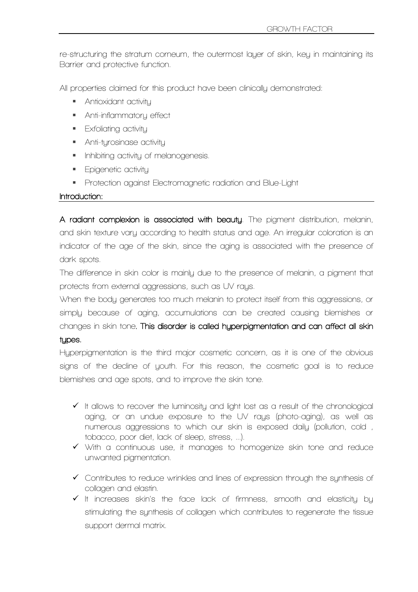**re-structuring the stratum corneum, the outermost layer of skin, key in maintaining its Barrier and protective function.**

**All properties claimed for this product have been clinically demonstrated:**

- **Antioxidant activity**
- **Anti-inflammatory effect**
- **Exfoliating activity**
- **Anti-tyrosinase activity**
- **Inhibiting activity of melanogenesis.**
- **Epigenetic activity**
- **Protection against Electromagnetic radiation and Blue-Light**

#### **Introduction:**

**A radiant complexion is associated with beauty. The pigment distribution, melanin, and skin texture vary according to health status and age. An irregular coloration is an indicator of the age of the skin, since the aging is associated with the presence of dark spots.**

**The difference in skin color is mainly due to the presence of melanin, a pigment that protects from external aggressions, such as UV rays.**

**When the body generates too much melanin to protect itself from this aggressions, or simply because of aging, accumulations can be created causing blemishes or changes in skin tone. This disorder is called hyperpigmentation and can affect all skin types.**

**Hyperpigmentation is the third major cosmetic concern, as it is one of the obvious signs of the decline of youth. For this reason, the cosmetic goal is to reduce blemishes and age spots, and to improve the skin tone.**

- **It allows to recover the luminosity and light lost as a result of the chronological aging, or an undue exposure to the UV rays (photo-aging), as well as numerous aggressions to which our skin is exposed daily (pollution, cold , tobacco, poor diet, lack of sleep, stress, ...).**
- **With a continuous use, it manages to homogenize skin tone and reduce unwanted pigmentation.**
- **Contributes to reduce wrinkles and lines of expression through the synthesis of collagen and elastin.**
- **It increases skin's the face lack of firmness, smooth and elasticity by stimulating the synthesis of collagen which contributes to regenerate the tissue support dermal matrix.**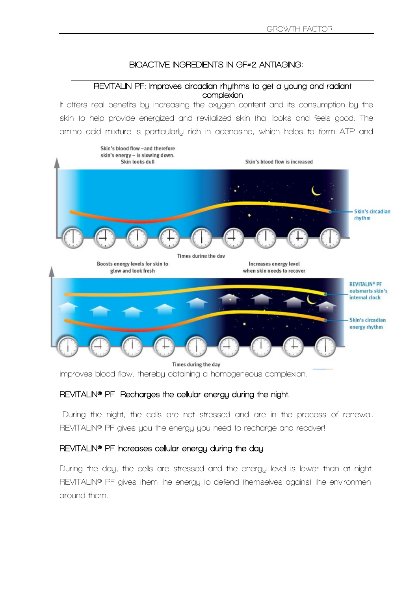# **BIOACTIVE INGREDIENTS IN GF#2 ANTIAGING:**

#### **REVITALIN PF: Improves circadian rhythms to get a young and radiant complexion**

**It offers real benefits by increasing the oxygen content and its consumption by the skin to help provide energized and revitalized skin that looks and feels good. The amino acid mixture is particularly rich in adenosine, which helps to form ATP and** 



**improves blood flow, thereby obtaining a homogeneous complexion.**

## **REVITALIN® PF Recharges the cellular energy during the night.**

**During the night, the cells are not stressed and are in the process of renewal. REVITALIN® PF gives you the energy you need to recharge and recover!**

### **REVITALIN® PF Increases cellular energy during the day**

**During the day, the cells are stressed and the energy level is lower than at night. REVITALIN® PF gives them the energy to defend themselves against the environment around them.**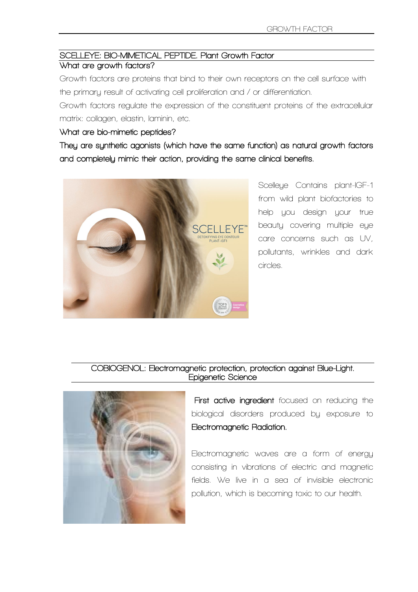# **SCELLEYE: BIO-MIMETICAL PEPTIDE. Plant Growth Factor**

## **What are growth factors?**

**Growth factors are proteins that bind to their own receptors on the cell surface with the primary result of activating cell proliferation and / or differentiation.** 

**Growth factors regulate the expression of the constituent proteins of the extracellular matrix: collagen, elastin, laminin, etc.**

### **What are bio-mimetic peptides?**

**They are synthetic agonists (which have the same function) as natural growth factors and completely mimic their action, providing the same clinical benefits.** 



**Scelleye Contains plant-IGF-1 from wild plant biofactories to help you design your true beauty covering multiple eye care concerns such as UV, pollutants, wrinkles and dark circles.**

### **COBIOGENOL: Electromagnetic protection, protection against Blue-Light. Epigenetic Science**



 **First active ingredient focused on reducing the biological disorders produced by exposure to Electromagnetic Radiation.** 

**Electromagnetic waves are a form of energy consisting in vibrations of electric and magnetic fields. We live in a sea of invisible electronic pollution, which is becoming toxic to our health.**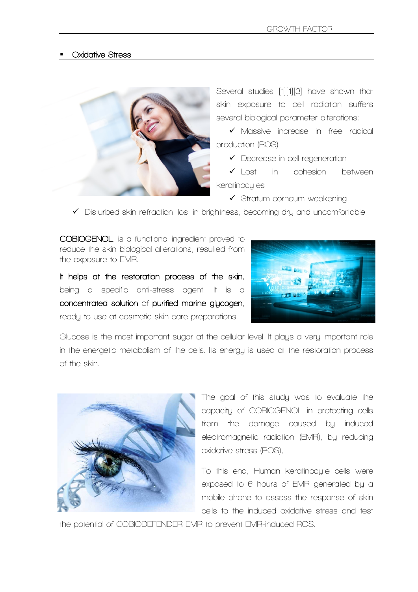#### **Oxidative Stress**



**Several studies [1][1][3] have shown that skin exposure to cell radiation suffers several biological parameter alterations:**

 **Massive increase in free radical production (ROS)**

**Decrease in cell regeneration** 

 **Lost in cohesion between keratinocytes**

**Stratum corneum weakening**

**Disturbed skin refraction: lost in brightness, becoming dry and uncomfortable**

**COBIOGENOL, is a functional ingredient proved to reduce the skin biological alterations, resulted from the exposure to EMR.** 

**It helps at the restoration process of the skin, being a specific anti-stress agent. It is a concentrated solution of purified marine glycogen, ready to use at cosmetic skin care preparations.**



**Glucose is the most important sugar at the cellular level. It plays a very important role in the energetic metabolism of the cells. Its energy is used at the restoration process of the skin.**



**The goal of this study was to evaluate the capacity of COBIOGENOL in protecting cells from the damage caused by induced electromagnetic radiation (EMR), by reducing oxidative stress (ROS).** 

**To this end, Human keratinocyte cells were exposed to 6 hours of EMR generated by a mobile phone to assess the response of skin cells to the induced oxidative stress and test** 

**the potential of COBIODEFENDER EMR to prevent EMR-induced ROS.**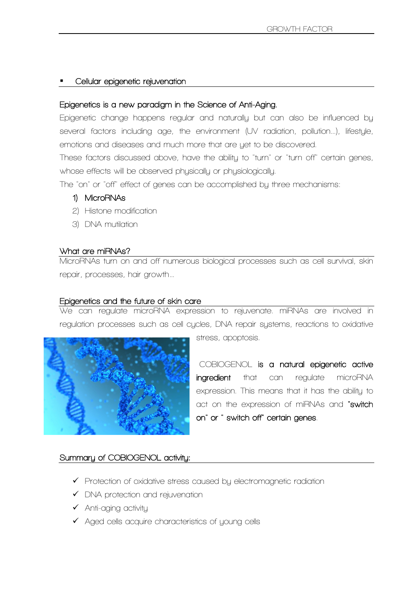### **Cellular epigenetic rejuvenation**

# **Epigenetics is a new paradigm in the Science of Anti-Aging.**

**Epigenetic change happens regular and naturally but can also be influenced by several factors including age, the environment (UV radiation, pollution…), lifestyle, emotions and diseases and much more that are yet to be discovered.**

**These factors discussed above, have the ability to "turn" or "turn off" certain genes, whose effects will be observed physically or physiologically.**

**The "on" or "off" effect of genes can be accomplished by three mechanisms:**

- **1) MicroRNAs**
- **2) Histone modification**
- **3) DNA mutilation**

# **What are miRNAs?**

**MicroRNAs turn on and off numerous biological processes such as cell survival, skin repair, processes, hair growth…**

# **Epigenetics and the future of skin care**

**We can regulate microRNA expression to rejuvenate. miRNAs are involved in regulation processes such as cell cycles, DNA repair systems, reactions to oxidative** 



**stress, apoptosis.**

**COBIOGENOL is a natural epigenetic active ingredient that can regulate microRNA expression. This means that it has the ability to act on the expression of miRNAs and "switch on" or " switch off" certain genes.**

### **Summary of COBIOGENOL activity:**

- **Protection of oxidative stress caused by electromagnetic radiation**
- **DNA protection and rejuvenation**
- **Anti-aging activity**
- **Aged cells acquire characteristics of young cells**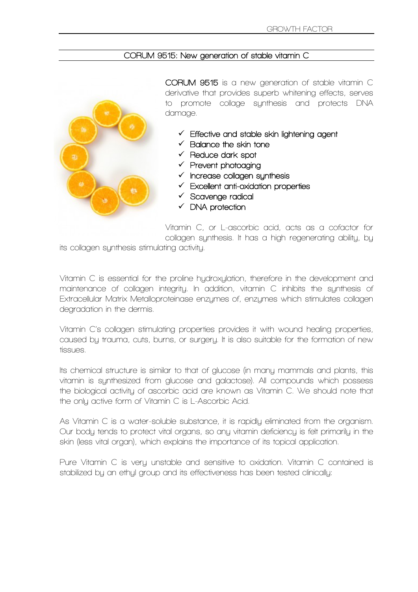#### **CORUM 9515: New generation of stable vitamin C**



**CORUM 9515 is a new generation of stable vitamin C derivative that provides superb whitening effects, serves to promote collage synthesis and protects DNA damage.** 

- **Effective and stable skin lightening agent**
- **Balance the skin tone**
- **Reduce dark spot**
- **Prevent photoaging**
- **Increase collagen synthesis**
- **Excellent anti-oxidation properties**
- **Scavenge radical**
- **DNA protection**

**Vitamin C, or L-ascorbic acid, acts as a cofactor for collagen synthesis. It has a high regenerating ability, by** 

**its collagen synthesis stimulating activity.**

**Vitamin C is essential for the proline hydroxylation, therefore in the development and maintenance of collagen integrity. In addition, vitamin C inhibits the synthesis of Extracellular Matrix Metalloproteinase enzymes of, enzymes which stimulates collagen degradation in the dermis.**

**Vitamin C's collagen stimulating properties provides it with wound healing properties, caused by trauma, cuts, burns, or surgery. It is also suitable for the formation of new tissues.**

**Its chemical structure is similar to that of glucose (in many mammals and plants, this vitamin is synthesized from glucose and galactose). All compounds which possess the biological activity of ascorbic acid are known as Vitamin C. We should note that the only active form of Vitamin C is L-Ascorbic Acid.**

**As Vitamin C is a water-soluble substance, it is rapidly eliminated from the organism. Our body tends to protect vital organs, so any vitamin deficiency is felt primarily in the skin (less vital organ), which explains the importance of its topical application.**

**Pure Vitamin C is very unstable and sensitive to oxidation. Vitamin C contained is stabilized by an ethyl group and its effectiveness has been tested clinically:**